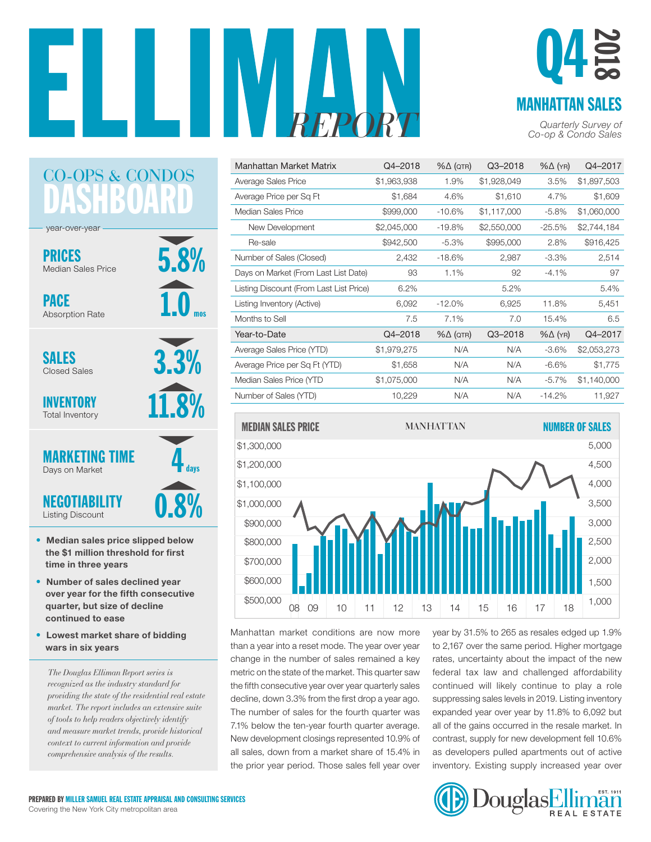

#### MANHATTAN SALES Q4 2018

*Co-op & Condo Sales*

| Manhattan Market Matrix                 | Q4-2018     | $% \triangle (QTR)$ | Q3-2018     | $% \triangle (YR)$ | Q4-2017     |
|-----------------------------------------|-------------|---------------------|-------------|--------------------|-------------|
| Average Sales Price                     | \$1,963,938 | 1.9%                | \$1,928,049 | 3.5%               | \$1,897,503 |
| Average Price per Sq Ft                 | \$1,684     | 4.6%                | \$1,610     | 4.7%               | \$1,609     |
| Median Sales Price                      | \$999,000   | $-10.6%$            | \$1,117,000 | $-5.8%$            | \$1,060,000 |
| New Development                         | \$2,045,000 | $-19.8%$            | \$2,550,000 | $-25.5%$           | \$2,744,184 |
| Re-sale                                 | \$942,500   | $-5.3%$             | \$995,000   | 2.8%               | \$916,425   |
| Number of Sales (Closed)                | 2,432       | $-18.6%$            | 2,987       | $-3.3\%$           | 2,514       |
| Days on Market (From Last List Date)    | 93          | 1.1%                | 92          | $-4.1%$            | 97          |
| Listing Discount (From Last List Price) | 6.2%        |                     | 5.2%        |                    | 5.4%        |
| Listing Inventory (Active)              | 6,092       | $-12.0\%$           | 6,925       | 11.8%              | 5,451       |
| Months to Sell                          | 7.5         | 7.1%                | 7.0         | 15.4%              | 6.5         |
| Year-to-Date                            | Q4-2018     | $% \triangle (QTR)$ | Q3-2018     | $% \triangle (YR)$ | Q4-2017     |
| Average Sales Price (YTD)               | \$1,979,275 | N/A                 | N/A         | $-3.6%$            | \$2,053,273 |
| Average Price per Sq Ft (YTD)           | \$1,658     | N/A                 | N/A         | $-6.6%$            | \$1,775     |
| Median Sales Price (YTD                 | \$1,075,000 | N/A                 | N/A         | $-5.7\%$           | \$1,140,000 |
| Number of Sales (YTD)                   | 10,229      | N/A                 | N/A         | $-14.2%$           | 11,927      |



Manhattan market conditions are now more than a year into a reset mode. The year over year change in the number of sales remained a key metric on the state of the market. This quarter saw the fifth consecutive year over year quarterly sales decline, down 3.3% from the first drop a year ago. The number of sales for the fourth quarter was 7.1% below the ten-year fourth quarter average. New development closings represented 10.9% of all sales, down from a market share of 15.4% in the prior year period. Those sales fell year over

year by 31.5% to 265 as resales edged up 1.9% to 2,167 over the same period. Higher mortgage ge in the number of sales remained a key crates, uncertainty about the impact of the new federal tax law and challenged affordability continued will likely continue to play a role suppressing sales levels in 2019. Listing inventory expanded year over year by 11.8% to 6,092 but all of the gains occurred in the resale market. In 10 contrast, supply for new development fell 10.6% as developers pulled apartments out of active 8 inventory. Existing supply increased year over 6



#### HB CO-OPS & CONDOS

5.8%

3.3%

**2%** 

1.0

mos

year-over-year

PRICES Median Sales Price

PACE Absorption Rate

SALES Closed Sales

INVENTORY Total Inventory



- Median sales price slipped below the \$1 million threshold for first time in three years
- Number of sales declined year over year for the fifth consecutive quarter, but size of decline continued to ease
- Lowest market share of bidding wars in six years

*The Douglas Elliman Report series is recognized as the industry standard for providing the state of the residential real estate market. The report includes an extensive suite of tools to help readers objectively identify and measure market trends, provide historical context to current information and provide comprehensive analysis of the results.*

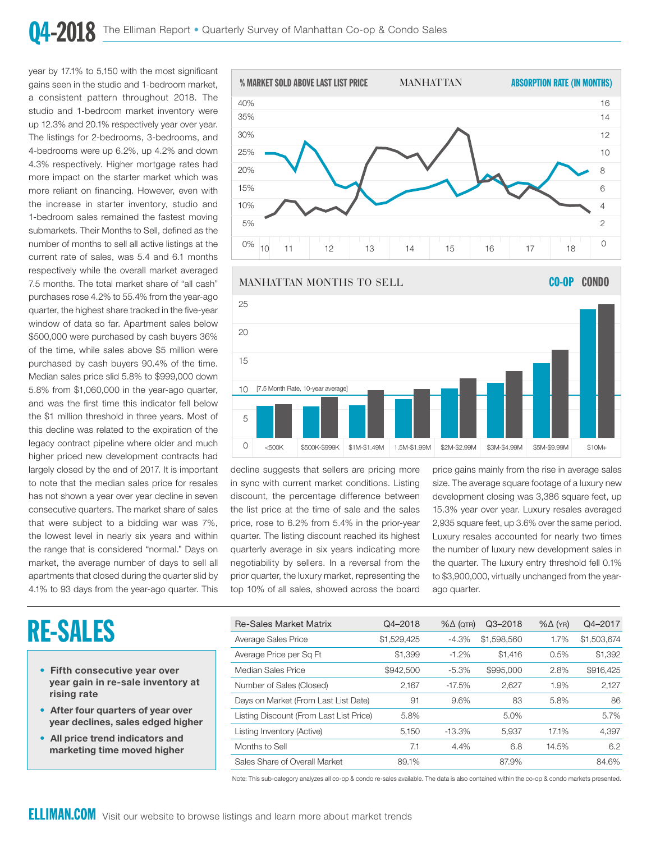year by 17.1% to 5,150 with the most significant gains seen in the studio and 1-bedroom market, a consistent pattern throughout 2018. The studio and 1-bedroom market inventory were up 12.3% and 20.1% respectively year over year. The listings for 2-bedrooms, 3-bedrooms, and 4-bedrooms were up 6.2%, up 4.2% and down 4.3% respectively. Higher mortgage rates had more impact on the starter market which was more reliant on financing. However, even with the increase in starter inventory, studio and 1-bedroom sales remained the fastest moving submarkets. Their Months to Sell, defined as the number of months to sell all active listings at the current rate of sales, was 5.4 and 6.1 months respectively while the overall market averaged 7.5 months. The total market share of "all cash" purchases rose 4.2% to 55.4% from the year-ago quarter, the highest share tracked in the five-year window of data so far. Apartment sales below \$500,000 were purchased by cash buyers 36% of the time, while sales above \$5 million were purchased by cash buyers 90.4% of the time. Median sales price slid 5.8% to \$999,000 down 5.8% from \$1,060,000 in the year-ago quarter, and was the first time this indicator fell below the \$1 million threshold in three years. Most of this decline was related to the expiration of the legacy contract pipeline where older and much higher priced new development contracts had largely closed by the end of 2017. It is important to note that the median sales price for resales has not shown a year over year decline in seven consecutive quarters. The market share of sales that were subject to a bidding war was 7%, the lowest level in nearly six years and within the range that is considered "normal." Days on market, the average number of days to sell all apartments that closed during the quarter slid by 4.1% to 93 days from the year-ago quarter. This

### RE-SALES

- Fifth consecutive year over year gain in re-sale inventory at rising rate
- After four quarters of year over year declines, sales edged higher
- All price trend indicators and marketing time moved higher



MANHATTAN MONTHS TO SELL CO-OP CO-OP CO-OP CO-OP CO-OP CO-OP CO-OP CO-OP CO-OP CO-OP CO-OP CO-OP CO-OP CO-OP C<br>The co-op co-op co-op co-op co-op co-op co-op co-op co-op co-op co-op co-op co-op co-op co-op co-op co-op co-o [7.5 Month Rate, 10-year average] MANHATTAN MONTHS TO SELL **CO-OP CONDO** [7.5 Month Rate, 10-year average]  $\Omega$ 5  $1<sub>0</sub>$ 15  $20$ 25 <500K \$500K-\$999K \$1M-\$1.49M 1.5M-\$1.99M \$2M-\$2.99M \$3M-\$4.99M \$5M-\$9.99M \$10M+

decline suggests that sellers are pricing more in sync with current market conditions. Listing discount, the percentage difference between development closing was 3,386 square feet, the list price at the time of sale and the sales <br>
15.3% year over year. Luxury resales average price, rose to 6.2% from 5.4% in the prior-year .<br>quarter. The listing discount reached its highest quarterly average in six years indicating more negotiability by sellers. In a reversal from the prior quarter, the luxury market, representing the top 10% of all sales, showed across the board

price gains mainly from the rise in average sales size. The average square footage of a luxury new development closing was 3,386 square feet, up 15.3% year over year. Luxury resales averaged 2,935 square feet, up 3.6% over the same period. Luxury resales accounted for nearly two times the number of luxury new development sales in the quarter. The luxury entry threshold fell 0.1% to \$3,900,000, virtually unchanged from the yearago quarter.

| <b>Re-Sales Market Matrix</b>           | Q4-2018     | $% \triangle (QTR)$ | $Q3 - 2018$ | $% \Delta (YR)$ | Q4-2017     |
|-----------------------------------------|-------------|---------------------|-------------|-----------------|-------------|
| Average Sales Price                     | \$1,529,425 | $-4.3%$             | \$1,598,560 | 1.7%            | \$1,503,674 |
| Average Price per Sq Ft                 | \$1,399     | $-1.2%$             | \$1.416     | 0.5%            | \$1,392     |
| Median Sales Price                      | \$942,500   | $-5.3%$             | \$995,000   | 2.8%            | \$916,425   |
| Number of Sales (Closed)                | 2.167       | $-17.5%$            | 2.627       | 1.9%            | 2,127       |
| Days on Market (From Last List Date)    | 91          | 9.6%                | 83          | 5.8%            | 86          |
| Listing Discount (From Last List Price) | 5.8%        |                     | 5.0%        |                 | 5.7%        |
| Listing Inventory (Active)              | 5.150       | $-13.3%$            | 5.937       | 17.1%           | 4,397       |
| Months to Sell                          | 7.1         | 4.4%                | 6.8         | 14.5%           | 6.2         |
| Sales Share of Overall Market           | 89.1%       |                     | 87.9%       |                 | 84.6%       |

Note: This sub-category analyzes all co-op & condo re-sales available. The data is also contained within the co-op & condo markets presented.

\$500,000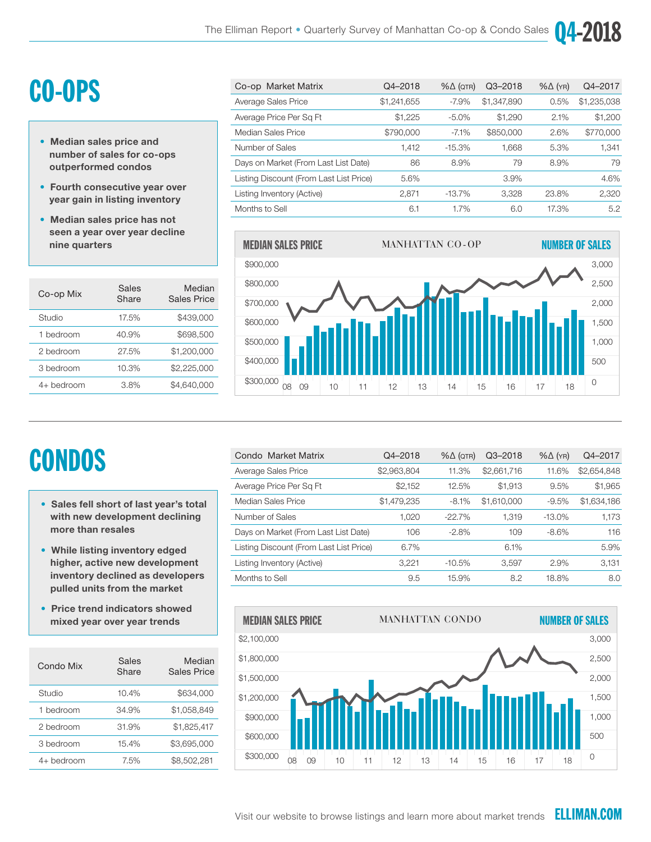35%

## CO-OPS

- Median sales price and number of sales for co-ops outperformed condos
- Fourth consecutive year over year gain in listing inventory
- Median sales price has not seen a year over year decline nine quarters

| Co-op Mix  | Sales<br>Share | Median<br>Sales Price |
|------------|----------------|-----------------------|
| Studio     | 17.5%          | \$439,000             |
| 1 bedroom  | 40.9%          | \$698,500             |
| 2 bedroom  | 27.5%          | \$1,200,000           |
| 3 bedroom  | 10.3%          | \$2,225,000           |
| 4+ bedroom | 3.8%           | \$4.640.000           |

| Co-op Market Matrix                     | Q4-2018     | $% \triangle (QTR)$ | Q3-2018     | $% \triangle (YR)$ | Q4-2017     |
|-----------------------------------------|-------------|---------------------|-------------|--------------------|-------------|
| Average Sales Price                     | \$1,241,655 | $-7.9\%$            | \$1,347,890 | 0.5%               | \$1,235,038 |
| Average Price Per Sq Ft                 | \$1.225     | $-5.0%$             | \$1.290     | 2.1%               | \$1,200     |
| Median Sales Price                      | \$790,000   | $-7.1\%$            | \$850,000   | 2.6%               | \$770,000   |
| Number of Sales                         | 1,412       | $-15.3\%$           | 1,668       | 5.3%               | 1,341       |
| Days on Market (From Last List Date)    | 86          | 8.9%                | 79          | 8.9%               | 79          |
| Listing Discount (From Last List Price) | 5.6%        |                     | $3.9\%$     |                    | 4.6%        |
| Listing Inventory (Active)              | 2.871       | $-13.7\%$           | 3.328       | 23.8%              | 2,320       |
| Months to Sell                          | 6.1         | 1.7%                | 6.0         | 17.3%              | 5.2         |

" 16



# **CONDOS**

- Sales fell short of last year's total with new development declining more than resales
- While listing inventory edged higher, active new development inventory declined as developers pulled units from the market
- Price trend indicators showed mixed year over year trends

| Condo Mix  | Sales<br>Share | Median<br>Sales Price |
|------------|----------------|-----------------------|
| Studio     | 10.4%          | \$634,000             |
| 1 bedroom  | 34.9%          | \$1.058.849           |
| 2 bedroom  | 31.9%          | \$1.825.417           |
| 3 bedroom  | 15.4%          | \$3.695.000           |
| 4+ bedroom | 7.5%           | \$8,502,281           |

| Condo Market Matrix                     | Q4-2018     | $% \triangle (QTR)$ | Q3-2018     | $% \triangle (YR)$ | Q4-2017     |
|-----------------------------------------|-------------|---------------------|-------------|--------------------|-------------|
| Average Sales Price                     | \$2,963,804 | 11.3%               | \$2,661,716 | 11.6%              | \$2,654,848 |
| Average Price Per Sq Ft                 | \$2,152     | 12.5%               | \$1.913     | 9.5%               | \$1,965     |
| Median Sales Price                      | \$1,479,235 | $-8.1\%$            | \$1,610,000 | $-9.5%$            | \$1,634,186 |
| Number of Sales                         | 1.020       | $-22.7\%$           | 1.319       | $-13.0\%$          | 1,173       |
| Days on Market (From Last List Date)    | 106         | $-2.8\%$            | 109         | $-8.6\%$           | 116         |
| Listing Discount (From Last List Price) | 6.7%        |                     | 6.1%        |                    | 5.9%        |
| Listing Inventory (Active)              | 3.221       | $-10.5%$            | 3.597       | 2.9%               | 3,131       |
| Months to Sell                          | 9.5         | 15.9%               | 8.2         | 18.8%              | 8.0         |